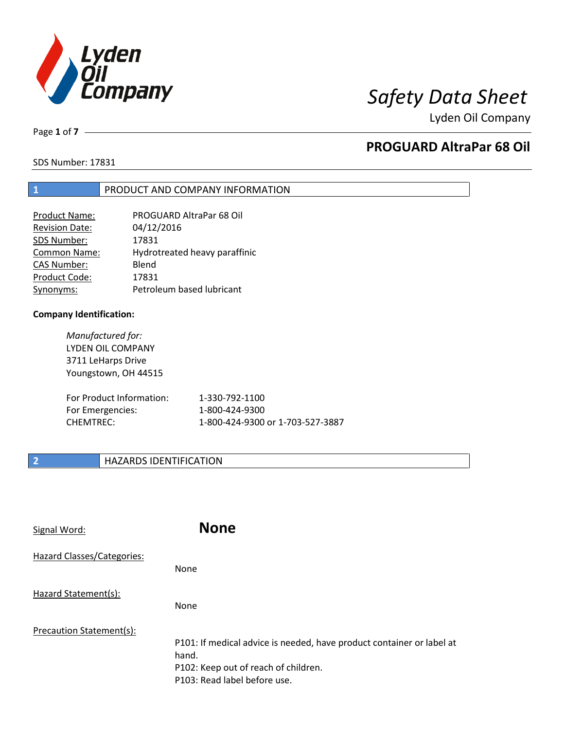

Lyden Oil Company

Page **1** of **7**

# **PROGUARD AltraPar 68 Oil**

SDS Number: 17831

## **1** PRODUCT AND COMPANY INFORMATION

| Product Name:         | PROGUARD AltraPar 68 Oil      |
|-----------------------|-------------------------------|
| <b>Revision Date:</b> | 04/12/2016                    |
| SDS Number:           | 17831                         |
| Common Name:          | Hydrotreated heavy paraffinic |
| <b>CAS Number:</b>    | Blend                         |
| Product Code:         | 17831                         |
| Synonyms:             | Petroleum based lubricant     |

### **Company Identification:**

*Manufactured for:* LYDEN OIL COMPANY 3711 LeHarps Drive Youngstown, OH 44515

| For Product Information: | 1-330-792-1100                   |
|--------------------------|----------------------------------|
| For Emergencies:         | 1-800-424-9300                   |
| CHEMTREC:                | 1-800-424-9300 or 1-703-527-3887 |

# **2 HAZARDS IDENTIFICATION**

| Signal Word:               | <b>None</b>                                                                                                                                            |
|----------------------------|--------------------------------------------------------------------------------------------------------------------------------------------------------|
| Hazard Classes/Categories: | None                                                                                                                                                   |
| Hazard Statement(s):       | None                                                                                                                                                   |
| Precaution Statement(s):   | P101: If medical advice is needed, have product container or label at<br>hand.<br>P102: Keep out of reach of children.<br>P103: Read label before use. |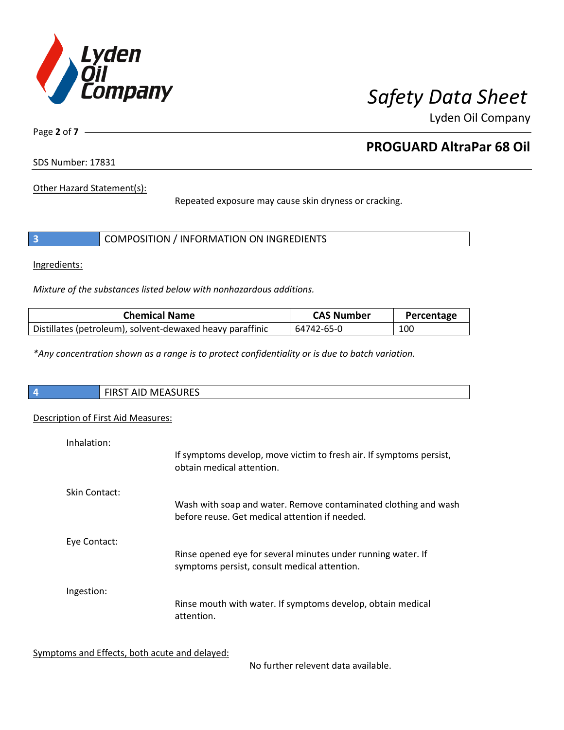

Lyden Oil Company

Page **2** of **7**

# **PROGUARD AltraPar 68 Oil**

SDS Number: 17831

Other Hazard Statement(s):

Repeated exposure may cause skin dryness or cracking.

|  | COMPOSITION / INFORMATION ON INGREDIENTS |  |
|--|------------------------------------------|--|
|--|------------------------------------------|--|

Ingredients:

*Mixture of the substances listed below with nonhazardous additions.*

| <b>Chemical Name</b>                                      | <b>CAS Number</b> | Percentage |
|-----------------------------------------------------------|-------------------|------------|
| Distillates (petroleum), solvent-dewaxed heavy paraffinic | 64742-65-0        | 100        |

*\*Any concentration shown as a range is to protect confidentiality or is due to batch variation.*

| $\overline{4}$ | $\mathbf{A}$<br>- --<br>$\mathbf{r}$<br>w<br>むいいにつ<br>┅<br>. <i>. .</i><br>. |
|----------------|------------------------------------------------------------------------------|
|                |                                                                              |

# Description of First Aid Measures:

| Inhalation:   | If symptoms develop, move victim to fresh air. If symptoms persist,                                               |
|---------------|-------------------------------------------------------------------------------------------------------------------|
|               | obtain medical attention.                                                                                         |
| Skin Contact: |                                                                                                                   |
|               | Wash with soap and water. Remove contaminated clothing and wash<br>before reuse. Get medical attention if needed. |
| Eye Contact:  |                                                                                                                   |
|               | Rinse opened eye for several minutes under running water. If<br>symptoms persist, consult medical attention.      |
| Ingestion:    |                                                                                                                   |
|               | Rinse mouth with water. If symptoms develop, obtain medical<br>attention.                                         |

Symptoms and Effects, both acute and delayed:

No further relevent data available.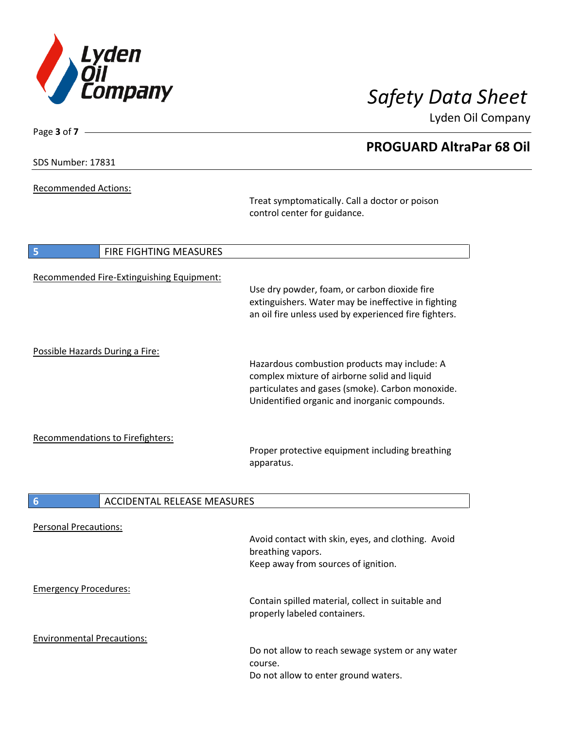

Lyden Oil Company

| SDS Number: 17831 |  |
|-------------------|--|
|-------------------|--|

Page **3** of **7**

Recommended Actions:

Treat symptomatically. Call a doctor or poison control center for guidance.

| 5<br><b>FIRE FIGHTING MEASURES</b>        |                                                                                                                                                                                                   |
|-------------------------------------------|---------------------------------------------------------------------------------------------------------------------------------------------------------------------------------------------------|
| Recommended Fire-Extinguishing Equipment: | Use dry powder, foam, or carbon dioxide fire<br>extinguishers. Water may be ineffective in fighting<br>an oil fire unless used by experienced fire fighters.                                      |
| Possible Hazards During a Fire:           | Hazardous combustion products may include: A<br>complex mixture of airborne solid and liquid<br>particulates and gases (smoke). Carbon monoxide.<br>Unidentified organic and inorganic compounds. |
| <b>Recommendations to Firefighters:</b>   | Proper protective equipment including breathing<br>apparatus.                                                                                                                                     |
| 6<br><b>ACCIDENTAL RELEASE MEASURES</b>   |                                                                                                                                                                                                   |
| <b>Personal Precautions:</b>              | Avoid contact with skin, eyes, and clothing. Avoid<br>breathing vapors.<br>Keep away from sources of ignition.                                                                                    |
| <b>Emergency Procedures:</b>              | Contain spilled material, collect in suitable and<br>properly labeled containers.                                                                                                                 |
| <b>Environmental Precautions:</b>         | Do not allow to reach sewage system or any water<br>course.<br>Do not allow to enter ground waters.                                                                                               |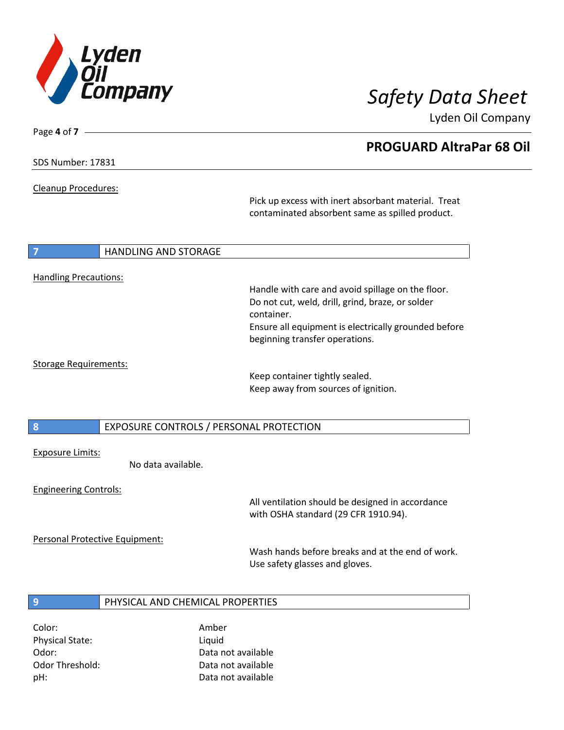

Lyden Oil Company

SDS Number: 17831

Page **4** of **7**

Cleanup Procedures:

Pick up excess with inert absorbant material. Treat contaminated absorbent same as spilled product.

### **7 HANDLING AND STORAGE**

### Handling Precautions:

Handle with care and avoid spillage on the floor. Do not cut, weld, drill, grind, braze, or solder container. Ensure all equipment is electrically grounded before beginning transfer operations.

### Storage Requirements:

Keep container tightly sealed. Keep away from sources of ignition.

**8** EXPOSURE CONTROLS / PERSONAL PROTECTION

### Exposure Limits:

No data available.

### Engineering Controls:

All ventilation should be designed in accordance with OSHA standard (29 CFR 1910.94).

Personal Protective Equipment:

Wash hands before breaks and at the end of work. Use safety glasses and gloves.

## **9** PHYSICAL AND CHEMICAL PROPERTIES

Color: Amber Physical State: Liquid

Odor: Data not available Odor Threshold: Data not available pH: Data not available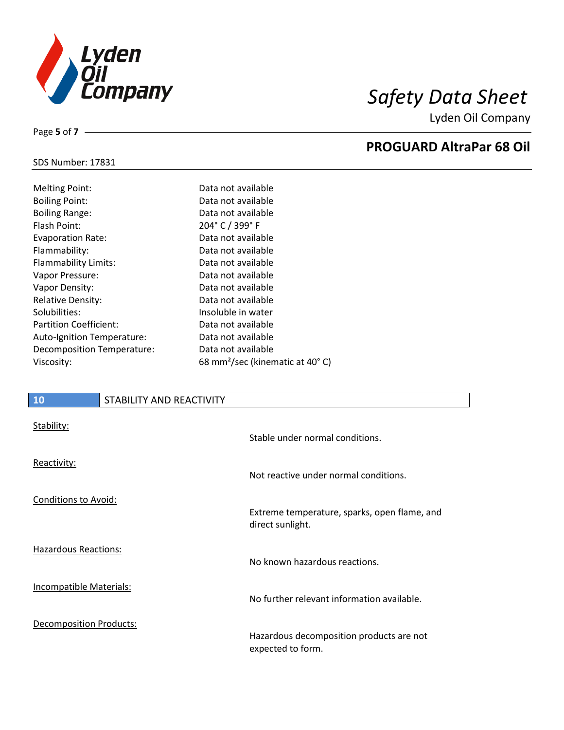

Lyden Oil Company

### SDS Number: 17831

Page **5** of **7**

| <b>Melting Point:</b>         |
|-------------------------------|
| <b>Boiling Point:</b>         |
| <b>Boiling Range:</b>         |
| Flash Point:                  |
| <b>Evaporation Rate:</b>      |
| Flammability:                 |
| Flammability Limits:          |
| Vapor Pressure:               |
| Vapor Density:                |
| <b>Relative Density:</b>      |
| Solubilities:                 |
| <b>Partition Coefficient:</b> |
| Auto-Ignition Temperature:    |
| Decomposition Temperature:    |
| Viscosity:                    |

Data not available Data not available Data not available 204° C / 399° F Data not available Data not available Data not available Data not available Data not available Data not available Insoluble in water Data not available Data not available Data not available 68 mm<sup>2</sup>/sec (kinematic at 40°C)

## **10** STABILITY AND REACTIVITY

| Stability:                     | Stable under normal conditions.                                  |
|--------------------------------|------------------------------------------------------------------|
| Reactivity:                    | Not reactive under normal conditions.                            |
| <b>Conditions to Avoid:</b>    | Extreme temperature, sparks, open flame, and<br>direct sunlight. |
| <b>Hazardous Reactions:</b>    | No known hazardous reactions.                                    |
| Incompatible Materials:        | No further relevant information available.                       |
| <b>Decomposition Products:</b> | Hazardous decomposition products are not<br>expected to form.    |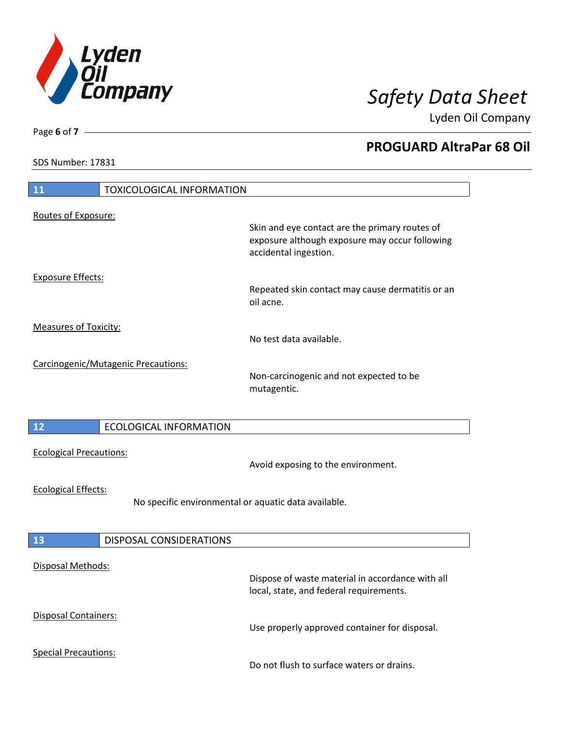

Lyden Oil Company

SDS Number: 17831

# **11** TOXICOLOGICAL INFORMATION Routes of Exposure: Skin and eye contact are the primary routes of exposure although exposure may occur following accidental ingestion. Exposure Effects: Repeated skin contact may cause dermatitis or an oil acne. Measures of Toxicity: No test data available. Carcinogenic/Mutagenic Precautions: Non-carcinogenic and not expected to be mutagentic. **12** ECOLOGICAL INFORMATION Ecological Precautions: Avoid exposing to the environment. Ecological Effects: No specific environmental or aquatic data available. **13** DISPOSAL CONSIDERATIONS Disposal Methods: Dispose of waste material in accordance with all local, state, and federal requirements. Disposal Containers: Use properly approved container for disposal. Special Precautions: Do not flush to surface waters or drains.

Page **6** of **7**